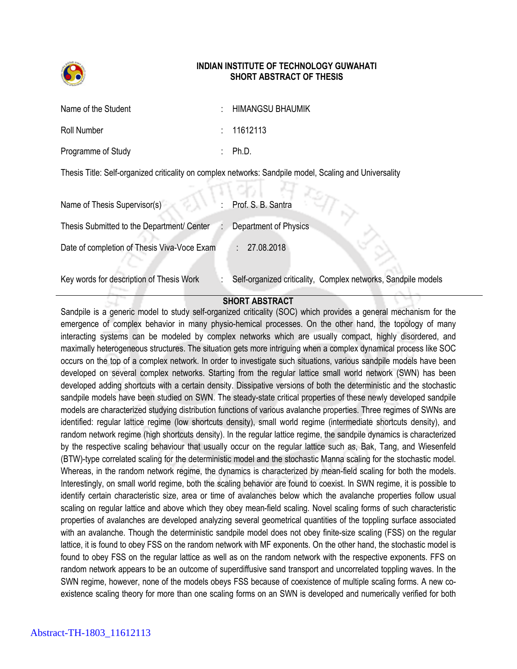

## **INDIAN INSTITUTE OF TECHNOLOGY GUWAHATI SHORT ABSTRACT OF THESIS**

| Name of the Student | : HIMANGSU BHAUMIK |
|---------------------|--------------------|
| Roll Number         | $\pm$ 11612113     |
| Programme of Study  | $\therefore$ Ph.D. |

Thesis Title: Self-organized criticality on complex networks: Sandpile model, Scaling and Universality

| Name of Thesis Supervisor(s)                | Prof. S. B. Santra    |  |
|---------------------------------------------|-----------------------|--|
| Thesis Submitted to the Department/ Center  | Department of Physics |  |
| Date of completion of Thesis Viva-Voce Exam | : 27.08.2018          |  |
|                                             |                       |  |

Key words for description of Thesis Work : Self-organized criticality, Complex networks, Sandpile models

## **SHORT ABSTRACT**

stinast ¤rse

Sandpile is a generic model to study self-organized criticality (SOC) which provides a general mechanism for the emergence of complex behavior in many physio-hemical processes. On the other hand, the topology of many interacting systems can be modeled by complex networks which are usually compact, highly disordered, and maximally heterogeneous structures. The situation gets more intriguing when a complex dynamical process like SOC occurs on the top of a complex network. In order to investigate such situations, various sandpile models have been developed on several complex networks. Starting from the regular lattice small world network (SWN) has been developed adding shortcuts with a certain density. Dissipative versions of both the deterministic and the stochastic sandpile models have been studied on SWN. The steady-state critical properties of these newly developed sandpile models are characterized studying distribution functions of various avalanche properties. Three regimes of SWNs are identified: regular lattice regime (low shortcuts density), small world regime (intermediate shortcuts density), and random network regime (high shortcuts density). In the regular lattice regime, the sandpile dynamics is characterized by the respective scaling behaviour that usually occur on the regular lattice such as, Bak, Tang, and Wiesenfeld (BTW)-type correlated scaling for the deterministic model and the stochastic Manna scaling for the stochastic model. Whereas, in the random network regime, the dynamics is characterized by mean-field scaling for both the models. Interestingly, on small world regime, both the scaling behavior are found to coexist. In SWN regime, it is possible to identify certain characteristic size, area or time of avalanches below which the avalanche properties follow usual scaling on regular lattice and above which they obey mean-field scaling. Novel scaling forms of such characteristic properties of avalanches are developed analyzing several geometrical quantities of the toppling surface associated with an avalanche. Though the deterministic sandpile model does not obey finite-size scaling (FSS) on the regular lattice, it is found to obey FSS on the random network with MF exponents. On the other hand, the stochastic model is found to obey FSS on the regular lattice as well as on the random network with the respective exponents. FFS on random network appears to be an outcome of superdiffusive sand transport and uncorrelated toppling waves. In the SWN regime, however, none of the models obeys FSS because of coexistence of multiple scaling forms. A new coexistence scaling theory for more than one scaling forms on an SWN is developed and numerically verified for both